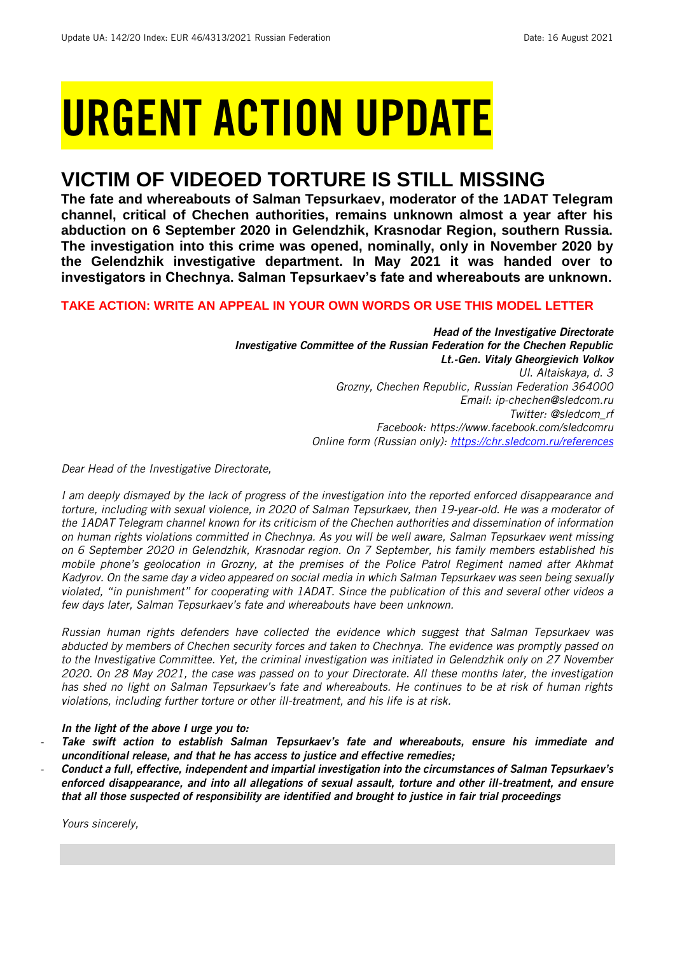# URGENT ACTION UPDATE

## **VICTIM OF VIDEOED TORTURE IS STILL MISSING**

**The fate and whereabouts of Salman Tepsurkaev, moderator of the 1ADAT Telegram channel, critical of Chechen authorities, remains unknown almost a year after his abduction on 6 September 2020 in Gelendzhik, Krasnodar Region, southern Russia. The investigation into this crime was opened, nominally, only in November 2020 by the Gelendzhik investigative department. In May 2021 it was handed over to investigators in Chechnya. Salman Tepsurkaev's fate and whereabouts are unknown.** 

## **TAKE ACTION: WRITE AN APPEAL IN YOUR OWN WORDS OR USE THIS MODEL LETTER**

*Head of the Investigative Directorate Investigative Committee of the Russian Federation for the Chechen Republic Lt.-Gen. Vitaly Gheorgievich Volkov Ul. Altaiskaya, d. 3 Grozny, Chechen Republic, Russian Federation 364000 Email: ip-chechen@sledcom.ru Twitter: @sledcom\_rf Facebook: https://www.facebook.com/sledcomru Online form (Russian only):<https://chr.sledcom.ru/references>*

*Dear Head of the Investigative Directorate,*

*I am deeply dismayed by the lack of progress of the investigation into the reported enforced disappearance and torture, including with sexual violence, in 2020 of Salman Tepsurkaev, then 19-year-old. He was a moderator of the 1ADAT Telegram channel known for its criticism of the Chechen authorities and dissemination of information on human rights violations committed in Chechnya. As you will be well aware, Salman Tepsurkaev went missing on 6 September 2020 in Gelendzhik, Krasnodar region. On 7 September, his family members established his mobile phone's geolocation in Grozny, at the premises of the Police Patrol Regiment named after Akhmat Kadyrov. On the same day a video appeared on social media in which Salman Tepsurkaev was seen being sexually violated, "in punishment" for cooperating with 1ADAT. Since the publication of this and several other videos a few days later, Salman Tepsurkaev's fate and whereabouts have been unknown.* 

*Russian human rights defenders have collected the evidence which suggest that Salman Tepsurkaev was abducted by members of Chechen security forces and taken to Chechnya. The evidence was promptly passed on to the Investigative Committee. Yet, the criminal investigation was initiated in Gelendzhik only on 27 November 2020. On 28 May 2021, the case was passed on to your Directorate. All these months later, the investigation has shed no light on Salman Tepsurkaev's fate and whereabouts. He continues to be at risk of human rights violations, including further torture or other ill-treatment, and his life is at risk.*

## *In the light of the above I urge you to:*

- *Take swift action to establish Salman Tepsurkaev's fate and whereabouts, ensure his immediate and unconditional release, and that he has access to justice and effective remedies;*
- *Conduct a full, effective, independent and impartial investigation into the circumstances of Salman Tepsurkaev's enforced disappearance, and into all allegations of sexual assault, torture and other ill-treatment, and ensure that all those suspected of responsibility are identified and brought to justice in fair trial proceedings*

*Yours sincerely,*